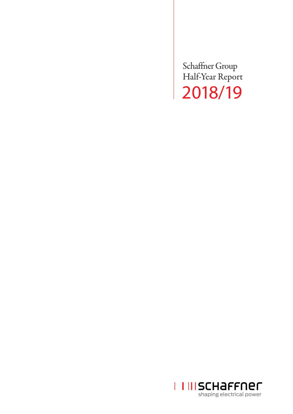Schaffner Group Half-Year Report 2018/19

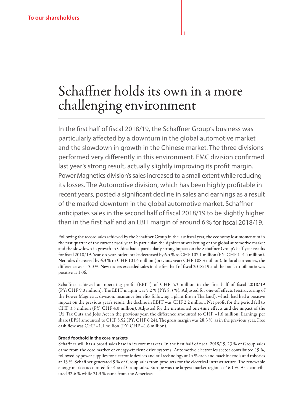# Schaffner holds its own in a more challenging environment

In the first half of fiscal 2018/19, the Schaffner Group's business was particularly affected by a downturn in the global automotive market and the slowdown in growth in the Chinese market. The three divisions performed very differently in this environment. EMC division confirmed last year's strong result, actually slightly improving its profit margin. Power Magnetics division's sales increased to a small extent while reducing its losses. The Automotive division, which has been highly profitable in recent years, posted a significant decline in sales and earnings as a result of the marked downturn in the global automotive market. Schaffner anticipates sales in the second half of fiscal 2018/19 to be slightly higher than in the first half and an EBIT margin of around 6% for fiscal 2018/19.

Following the record sales achieved by the Schaffner Group in the last fiscal year, the economy lost momentum in the first quarter of the current fiscal year. In particular, the significant weakening of the global automotive market and the slowdown in growth in China had a particularly strong impact on the Schaffner Group's half-year results for fiscal 2018/19. Year-on-year, order intake decreased by 6.4 % to CHF 107.1 million (PY: CHF 114.4 million). Net sales decreased by 6.3 % to CHF 101.4 million (previous year: CHF 108.3 million). In local currencies, the difference was –5.0 %. New orders exceeded sales in the first half of fiscal 2018/19 and the book-to-bill ratio was positive at 1.06.

Schaffner achieved an operating profit (EBIT) of CHF 5.3 million in the first half of fiscal 2018/19 (PY: CHF 9.0 million). The EBIT margin was 5.2 % (PY: 8.3 %). Adjusted for one-off effects (restructuring of the Power Magnetics division, insurance benefits following a plant fire in Thailand), which had had a positive impact on the previous year's result, the decline in EBIT was CHF 2.2 million. Net profit for the period fell to CHF 3.5 million (PY: CHF 4.0 million). Adjusted for the mentioned one-time effects and the impact of the US Tax Cuts and Jobs Act in the previous year, the difference amounted to CHF –1.6 million. Earnings per share (EPS) amounted to CHF 5.52 (PY: CHF 6.24). The gross margin was 28.3 %, as in the previous year. Free cash flow was CHF –1.1 million (PY: CHF –1.6 million).

#### **Broad foothold in the core markets**

Schaffner still has a broad sales base in its core markets. In the first half of fiscal 2018/19, 23 % of Group sales came from the core market of energy-efficient drive systems. Automotive electronics sector contributed 19 %, followed by power supplies for electronic devices and rail technology at 14 % each and machine tools and robotics at 13 %. Schaffner generated 9 % of Group sales from products for the electrical infrastructure. The renewable energy market accounted for 4 % of Group sales. Europe was the largest market region at 46.1 %. Asia contributed 32.6 % while 21.3 % came from the Americas.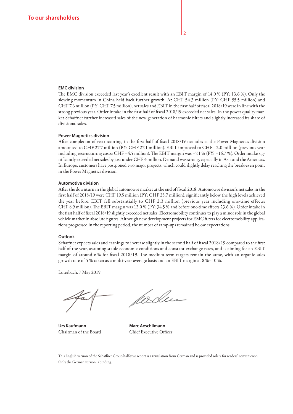#### **EMC division**

The EMC division exceeded last year's excellent result with an EBIT margin of 14.0 % (PY: 13.6 %). Only the slowing momentum in China held back further growth. At CHF 54.3 million (PY: CHF 55.5 million) and CHF 7.6 million (PY: CHF 7.5 million), net sales and EBIT in the first half of fiscal 2018/19 were in line with the strong previous year. Order intake in the first half of fiscal 2018/19 exceeded net sales. In the power quality market Schaffner further increased sales of the new generation of harmonic filters and slightly increased its share of divisional sales.

#### **Power Magnetics division**

After completion of restructuring, in the first half of fiscal 2018/19 net sales at the Power Magnetics division amounted to CHF 27.7 million (PY: CHF 27.1 million). EBIT improved to CHF –2.0 million (previous year including restructuring costs: CHF –4.5 million). The EBIT margin was –7.1 % (PY: –16.7 %). Order intake significantly exceeded net sales by just under CHF 4 million. Demand was strong, especially in Asia and the Americas. In Europe, customers have postponed two major projects, which could slightly delay reaching the break-even point in the Power Magnetics division.

#### **Automotive division**

After the downturn in the global automotive market at the end of fiscal 2018, Automotive division's net sales in the first half of 2018/19 were CHF 19.5 million (PY: CHF 25.7 million), significantly below the high levels achieved the year before. EBIT fell substantially to CHF 2.3 million (previous year including one-time effects: CHF 8.9 million). The EBIT margin was 12.0 % (PY: 34.5 % and before one-time effects 23.6 %). Order intake in the first half of fiscal 2018/19 slightly exceeded net sales. Electromobility continues to play a minor role in the global vehicle market in absolute figures. Although new development projects for EMC filters for electromobility applications progressed in the reporting period, the number of ramp-ups remained below expectations.

#### **Outlook**

Schaffner expects sales and earnings to increase slightly in the second half of fiscal 2018/19 compared to the first half of the year, assuming stable economic conditions and constant exchange rates, and is aiming for an EBIT margin of around 6 % for fiscal 2018/19. The medium-term targets remain the same, with an organic sales growth rate of 5 % taken as a multi-year average basis and an EBIT margin at 8 %–10 %.

Luterbach, 7 May 2019

Urs Kaufmann **Marc Aeschlimann** Chairman of the Board Chief Executive Officer

fødu

This English version of the Schaffner Group half-year report is a translation from German and is provided solely for readers' convenience. Only the German version is binding.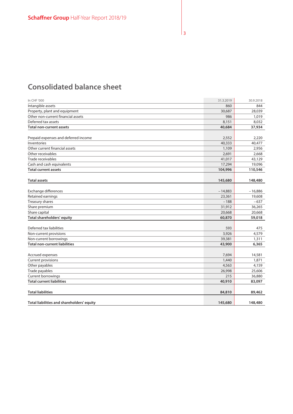# **Consolidated balance sheet**

| In CHF '000                                         | 31.3.2019 | 30.9.2018 |
|-----------------------------------------------------|-----------|-----------|
| Intangible assets                                   | 860       | 844       |
| Property, plant and equipment                       | 30,687    | 28,039    |
| Other non-current financial assets                  | 986       | 1,019     |
| Deferred tax assets                                 | 8,151     | 8,032     |
| <b>Total non-current assets</b>                     | 40,684    | 37,934    |
|                                                     | 2,552     | 2,220     |
| Prepaid expenses and deferred income<br>Inventories |           | 40,477    |
| Other current financial assets                      | 40,333    |           |
|                                                     | 1,109     | 2,956     |
| Other receivables                                   | 2,691     | 2,668     |
| Trade receivables                                   | 41,017    | 43,129    |
| Cash and cash equivalents                           | 17,294    | 19,096    |
| <b>Total current assets</b>                         | 104,996   | 110,546   |
| <b>Total assets</b>                                 | 145,680   | 148,480   |
|                                                     |           |           |
| Exchange differences                                | $-14,883$ | $-16,886$ |
| Retained earnings                                   | 23,361    | 19,608    |
| Treasury shares                                     | $-188$    | $-637$    |
| Share premium                                       | 31,912    | 36,265    |
| Share capital                                       | 20,668    | 20,668    |
| <b>Total shareholders' equity</b>                   | 60,870    | 59,018    |
|                                                     |           |           |
| Deferred tax liabilities                            | 593       | 475       |
| Non-current provisions                              | 3,926     | 4,579     |
| Non-current borrowings                              | 39,381    | 1,311     |
| <b>Total non-current liabilities</b>                | 43,900    | 6,365     |
| Accrued expenses                                    | 7,694     | 14,581    |
| Current provisions                                  | 1,440     | 1,871     |
| Other payables                                      | 4,563     | 4,159     |
| Trade payables                                      | 26,998    | 25,606    |
| Current borrowings                                  | 215       | 36,880    |
| <b>Total current liabilities</b>                    | 40,910    | 83,097    |
|                                                     |           |           |
| <b>Total liabilities</b>                            | 84,810    | 89,462    |
| Total liabilities and shareholders' equity          | 145,680   | 148,480   |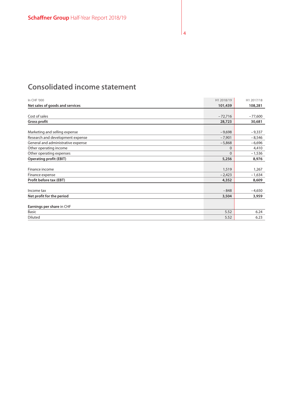# **Consolidated income statement**

| In CHF '000                        | H1 2018/19 | H1 2017/18 |
|------------------------------------|------------|------------|
| Net sales of goods and services    | 101,439    | 108,281    |
|                                    |            |            |
| Cost of sales                      | $-72,716$  | $-77,600$  |
| <b>Gross profit</b>                | 28,723     | 30,681     |
|                                    |            |            |
| Marketing and selling expense      | $-9,698$   | $-9,337$   |
| Research and development expense   | $-7,901$   | $-8,546$   |
| General and administrative expense | $-5,868$   | $-6,696$   |
| Other operating income             | $\Omega$   | 4,410      |
| Other operating expenses           | $\Omega$   | $-1,536$   |
| <b>Operating profit (EBIT)</b>     | 5,256      | 8,976      |
|                                    |            |            |
| Finance income                     | 1,519      | 1,267      |
| Finance expense                    | $-2,423$   | $-1,634$   |
| Profit before tax (EBT)            | 4,352      | 8,609      |
|                                    |            |            |
| Income tax                         | $-848$     | $-4,650$   |
| Net profit for the period          | 3,504      | 3,959      |
|                                    |            |            |
| Earnings per share in CHF          |            |            |
| <b>Basic</b>                       | 5.52       | 6.24       |
| Diluted                            | 5.52       | 6.23       |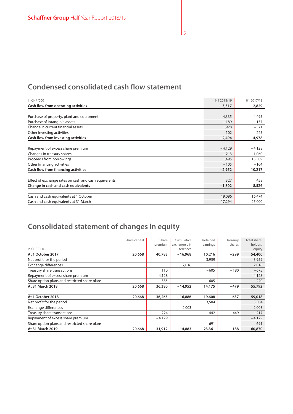# **Condensed consolidated cash flow statement**

| In CHF '000                                           | H1 2018/19 | H1 2017/18 |
|-------------------------------------------------------|------------|------------|
| Cash flow from operating activities                   | 3,317      | 2,829      |
|                                                       |            |            |
| Purchase of property, plant and equipment             | $-4,335$   | -4,495     |
| Purchase of intangible assets                         | $-189$     | $-137$     |
| Change in current financial assets                    | 1,928      | $-571$     |
| Other investing activities                            | 102        | 225        |
| Cash flow from investing activities                   | $-2,494$   | $-4,978$   |
|                                                       |            |            |
| Repayment of excess share premium                     | $-4,129$   | $-4,128$   |
| Changes in treasury shares                            | $-213$     | $-1,060$   |
| Proceeds from borrowings                              | 1,495      | 15,509     |
| Other financing activities                            | $-105$     | $-104$     |
| Cash flow from financing activities                   | $-2,952$   | 10,217     |
|                                                       |            |            |
| Effect of exchange rates on cash and cash equivalents | 327        | 458        |
| Change in cash and cash equivalents                   | $-1,802$   | 8,526      |
|                                                       |            |            |
| Cash and cash equivalents at 1 October                | 19,096     | 16,474     |
| Cash and cash equivalents at 31 March                 | 17,294     | 25,000     |

# **Consolidated statement of changes in equity**

|                                               | Share capital | Share    | Cumulative    | Retained | Treasury | Total share- |
|-----------------------------------------------|---------------|----------|---------------|----------|----------|--------------|
|                                               |               | premium  | exchange dif- | earnings | shares   | holders'     |
| In CHF '000                                   |               |          | ferences      |          |          | equity       |
| At 1 October 2017                             | 20,668        | 40,783   | -16,968       | 10,216   | -299     | 54,400       |
| Net profit for the period                     |               |          |               | 3,959    |          | 3,959        |
| Exchange differences                          |               |          | 2,016         |          |          | 2,016        |
| Treasury share transactions                   |               | 110      |               | $-605$   | $-180$   | $-675$       |
| Repayment of excess share premium             |               | $-4,128$ |               |          |          | $-4,128$     |
| Share option plans and restricted share plans |               | $-385$   |               | 605      |          | 220          |
| At 31 March 2018                              | 20,668        | 36,380   | -14,952       | 14,175   | -479     | 55,792       |
|                                               |               |          |               |          |          |              |
| At 1 October 2018                             | 20,668        | 36,265   | $-16,886$     | 19,608   | $-637$   | 59,018       |
| Net profit for the period                     |               |          |               | 3,504    |          | 3,504        |
| Exchange differences                          |               |          | 2,003         |          |          | 2,003        |
| Treasury share transactions                   |               | $-224$   |               | $-442$   | 449      | $-217$       |
| Repayment of excess share premium             |               | $-4,129$ |               |          |          | $-4,129$     |
| Share option plans and restricted share plans |               |          |               | 691      |          | 691          |
| At 31 March 2019                              | 20,668        | 31,912   | $-14,883$     | 23,361   | $-188$   | 60,870       |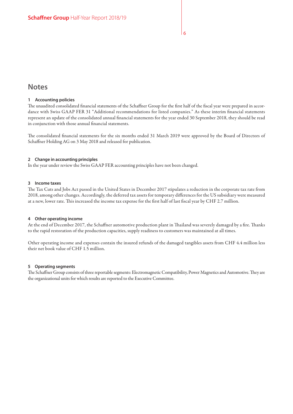# **Notes**

#### **1 Accounting policies**

The unaudited consolidated financial statements of the Schaffner Group for the first half of the fiscal year were prepared in accordance with Swiss GAAP FER 31 "Additional recommendations for listed companies." As these interim financial statements represent an update of the consolidated annual financial statements for the year ended 30 September 2018, they should be read in conjunction with those annual financial statements.

The consolidated financial statements for the six months ended 31 March 2019 were approved by the Board of Directors of Schaffner Holding AG on 3 May 2018 and released for publication.

#### **2 Change in accounting principles**

In the year under review the Swiss GAAP FER accounting principles have not been changed.

#### **3 Income taxes**

The Tax Cuts and Jobs Act passed in the United States in December 2017 stipulates a reduction in the corporate tax rate from 2018, among other changes. Accordingly, the deferred tax assets for temporary differences for the US subsidiary were measured at a new, lower rate. This increased the income tax expense for the first half of last fiscal year by CHF 2.7 million.

#### **4 Other operating income**

At the end of December 2017, the Schaffner automotive production plant in Thailand was severely damaged by a fire. Thanks to the rapid restoration of the production capacities, supply readiness to customers was maintained at all times.

Other operating income and expenses contain the insured refunds of the damaged tangibles assets from CHF 4.4 million less their net book value of CHF 1.5 million.

#### **5 Operating segments**

The Schaffner Group consists of three reportable segments: Electromagnetic Compatibility, Power Magnetics and Automotive. They are the organizational units for which results are reported to the Executive Committee.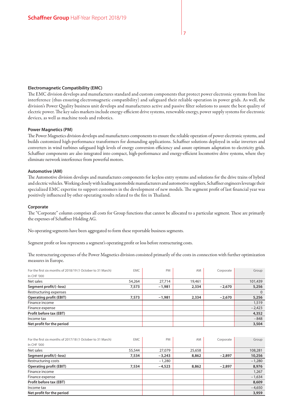#### **Electromagnetic Compatibility (EMC)**

The EMC division develops and manufactures standard and custom components that protect power electronic systems from line interference (thus ensuring electromagnetic compatibility) and safeguard their reliable operation in power grids. As well, the division's Power Quality business unit develops and manufactures active and passive filter solutions to assure the best quality of electric power. The key sales markets include energy-efficient drive systems, renewable energy, power supply systems for electronic devices, as well as machine tools and robotics.

#### **Power Magnetics (PM)**

The Power Magnetics division develops and manufactures components to ensure the reliable operation of power electronic systems, and builds customized high-performance transformers for demanding applications. Schaffner solutions deployed in solar inverters and converters in wind turbines safeguard high levels of energy conversion efficiency and assure optimum adaptation to electricity grids. Schaffner components are also integrated into compact, high-performance and energy-efficient locomotive drive systems, where they eliminate network interference from powerful motors.

#### **Automotive (AM)**

The Automotive division develops and manufactures components for keyless entry systems and solutions for the drive trains of hybrid and electric vehicles. Working closely with leading automobile manufacturers and automotive suppliers, Schaffner engineers leverage their specialized EMC expertise to support customers in the development of new models. The segment profit of last financial year was positively influenced by other operating results related to the fire in Thailand.

#### **Corporate**

The "Corporate" column comprises all costs for Group functions that cannot be allocated to a particular segment. These are primarily the expenses of Schaffner Holding AG.

No operating segments have been aggregated to form these reportable business segments.

Segment profit or loss represents a segment's operating profit or loss before restructuring costs.

The restructuring expenses of the Power Magnetics division consisted primarily of the costs in connection with further optimization measures in Europe.

| For the first six months of 2018/19 (1 October to 31 March) | <b>EMC</b> | <b>PM</b> | AM     | Corporate | Group    |
|-------------------------------------------------------------|------------|-----------|--------|-----------|----------|
| In CHF '000                                                 |            |           |        |           |          |
| Net sales                                                   | 54,264     | 27,714    | 19,461 |           | 101,439  |
| Segment profit/(-loss)                                      | 7,573      | $-1,981$  | 2,334  | $-2,670$  | 5,256    |
| Restructuring expenses                                      |            |           |        |           | $\Omega$ |
| <b>Operating profit (EBIT)</b>                              | 7,573      | $-1,981$  | 2,334  | $-2,670$  | 5,256    |
| Finance income                                              |            |           |        |           | 1,519    |
| Finance expense                                             |            |           |        |           | $-2,423$ |
| Profit before tax (EBT)                                     |            |           |        |           | 4,352    |
| Income tax                                                  |            |           |        |           | $-848$   |
| Net profit for the period                                   |            |           |        |           | 3,504    |

| For the first six months of 2017/18 (1 October to 31 March) | <b>EMC</b> | PM       | AM     | Corporate | Group    |
|-------------------------------------------------------------|------------|----------|--------|-----------|----------|
| In CHF '000                                                 |            |          |        |           |          |
| Net sales                                                   | 55,544     | 27,079   | 25,658 |           | 108,281  |
| Segment profit/(-loss)                                      | 7,534      | $-3,243$ | 8,862  | $-2,897$  | 10,256   |
| Restructuring costs                                         |            | $-1,280$ |        |           | $-1,280$ |
| <b>Operating profit (EBIT)</b>                              | 7,534      | $-4,523$ | 8,862  | $-2,897$  | 8,976    |
| Finance income                                              |            |          |        |           | 1,267    |
| Finance expense                                             |            |          |        |           | $-1,634$ |
| Profit before tax (EBT)                                     |            |          |        |           | 8,609    |
| Income tax                                                  |            |          |        |           | $-4,650$ |
| Net profit for the period                                   |            |          |        |           | 3,959    |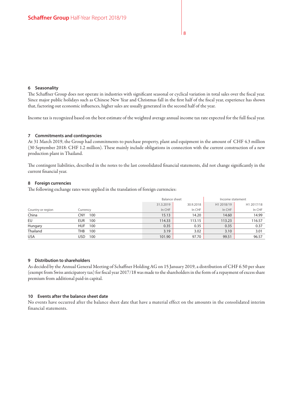#### **6 Seasonality**

The Schaffner Group does not operate in industries with significant seasonal or cyclical variation in total sales over the fiscal year. Since major public holidays such as Chinese New Year and Christmas fall in the first half of the fiscal year, experience has shown that, factoring out economic influences, higher sales are usually generated in the second half of the year.

Income tax is recognized based on the best estimate of the weighted average annual income tax rate expected for the full fiscal year.

#### **7 Commitments and contingencies**

At 31 March 2019, the Group had commitments to purchase property, plant and equipment in the amount of CHF 4.3 million (30 September 2018: CHF 1.2 million). These mainly include obligations in connection with the current construction of a new production plant in Thailand.

The contingent liabilities, described in the notes to the last consolidated financial statements, did not change significantly in the current financial year.

#### **8 Foreign currencies**

The following exchange rates were applied in the translation of foreign currencies:

|                   |                   |           | <b>Balance sheet</b> |            | Income statement |
|-------------------|-------------------|-----------|----------------------|------------|------------------|
|                   |                   | 31.3.2019 | 30.9.2018            | H1 2018/19 | H1 2017/18       |
| Country or region | Currency          | In CHF    | In CHF               | In CHF     | In CHF           |
| China             | CNY<br>100        | 15.13     | 14.20                | 14.60      | 14.99            |
| EU                | 100<br>EUR.       | 114.33    | 113.15               | 113.23     | 116.57           |
| Hungary           | <b>HUF</b><br>100 | 0.35      | 0.35                 | 0.35       | 0.37             |
| Thailand          | THB<br>100        | 3.19      | 3.02                 | 3.10       | 3.01             |
| <b>USA</b>        | 100<br>USD        | 101.90    | 97.70                | 99.51      | 96.57            |

#### **9 Distribution to shareholders**

As decided by the Annual General Meeting of Schaffner Holding AG on 15 January 2019, a distribution of CHF 6.50 per share (exempt from Swiss anticipatory tax) for fiscal year 2017/18 was made to the shareholders in the form of a repayment of excess share premium from additional paid-in capital.

#### **10 Events after the balance sheet date**

No events have occurred after the balance sheet date that have a material effect on the amounts in the consolidated interim financial statements.